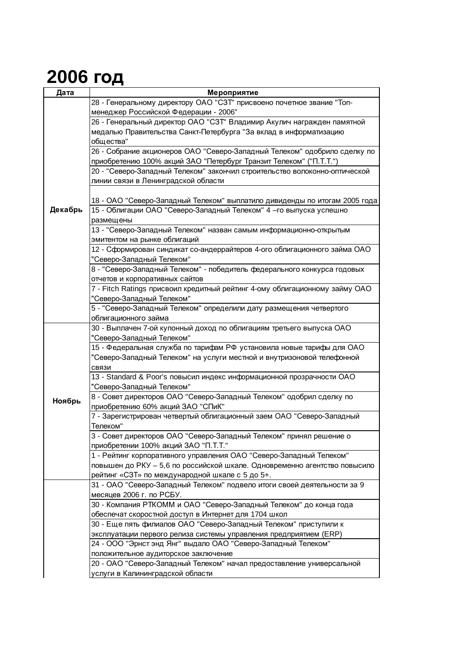## **2006 год**

| Дата    | Мероприятие                                                                 |
|---------|-----------------------------------------------------------------------------|
|         | 28 - Генеральному директору ОАО "СЗТ" присвоено почетное звание "Топ-       |
|         | менеджер Российской Федерации - 2006"                                       |
|         | 26 - Генеральный директор ОАО "СЗТ" Владимир Акулич награжден памятной      |
|         | медалью Правительства Санкт-Петербурга "За вклад в информатизацию           |
|         | общества"                                                                   |
|         | 26 - Собрание акционеров ОАО "Северо-Западный Телеком" одобрило сделку по   |
|         | приобретению 100% акций ЗАО "Петербург Транзит Телеком" ("П.Т.Т.")          |
|         | 20 - "Северо-Западный Телеком" закончил строительство волоконно-оптической  |
|         | линии связи в Ленинградской области                                         |
|         |                                                                             |
| Декабрь | 18 - ОАО "Северо-Западный Телеком" выплатило дивиденды по итогам 2005 года  |
|         | 15 - Облигации ОАО "Северо-Западный Телеком" 4 - го выпуска успешно         |
|         | размещены                                                                   |
|         | 13 - "Северо-Западный Телеком" назван самым информационно-открытым          |
|         | эмитентом на рынке облигаций                                                |
|         | 12 - Сформирован синдикат со-андеррайтеров 4-ого облигационного займа ОАО   |
|         | "Северо-Западный Телеком"                                                   |
|         | 8 - "Северо-Западный Телеком" - победитель федерального конкурса годовых    |
|         | отчетов и корпоративных сайтов                                              |
|         | 7 - Fitch Ratings присвоил кредитный рейтинг 4-ому облигационному займу ОАО |
|         | "Северо-Западный Телеком"                                                   |
|         | 5 - "Северо-Западный Телеком" определили дату размещения четвертого         |
|         | облигационного займа                                                        |
|         | 30 - Выплачен 7-ой купонный доход по облигациям третьего выпуска ОАО        |
|         | "Северо-Западный Телеком"                                                   |
|         | 15 - Федеральная служба по тарифам РФ установила новые тарифы для ОАО       |
|         | "Северо-Западный Телеком" на услуги местной и внутризоновой телефонной      |
|         | СВЯЗИ                                                                       |
|         | 13 - Standard & Poor's повысил индекс информационной прозрачности ОАО       |
|         | "Северо-Западный Телеком"                                                   |
| Ноябрь  | 8 - Совет директоров ОАО "Северо-Западный Телеком" одобрил сделку по        |
|         | приобретению 60% акций ЗАО "СПиК"                                           |
|         | 7 - Зарегистрирован четвертый облигационный заем ОАО "Северо-Западный       |
|         | Телеком"                                                                    |
|         | 3 - Совет директоров ОАО "Северо-Западный Телеком" принял решение о         |
|         | приобретении 100% акций ЗАО "П.Т.Т."                                        |
|         | 1 - Рейтинг корпоративного управления ОАО "Северо-Западный Телеком"         |
|         | повышен до РКУ - 5,6 по российской шкале. Одновременно агентство повысило   |
|         | рейтинг «СЗТ» по международной шкале с 5 до 5+.                             |
|         | 31 - ОАО "Северо-Западный Телеком" подвело итоги своей деятельности за 9    |
|         | месяцев 2006 г. по РСБУ.                                                    |
|         | 30 - Компания РТКОММ и ОАО "Северо-Западный Телеком" до конца года          |
|         | обеспечат скоростной доступ в Интернет для 1704 школ                        |
|         | 30 - Еще пять филиалов ОАО "Северо-Западный Телеком" приступили к           |
|         | эксплуатации первого релиза системы управления предприятием (ERP)           |
|         | 24 - ООО "Эрнст энд Янг" выдало ОАО "Северо-Западный Телеком"               |
|         | положительное аудиторское заключение                                        |
|         | 20 - ОАО "Северо-Западный Телеком" начал предоставление универсальной       |
|         | услуги в Калининградской области                                            |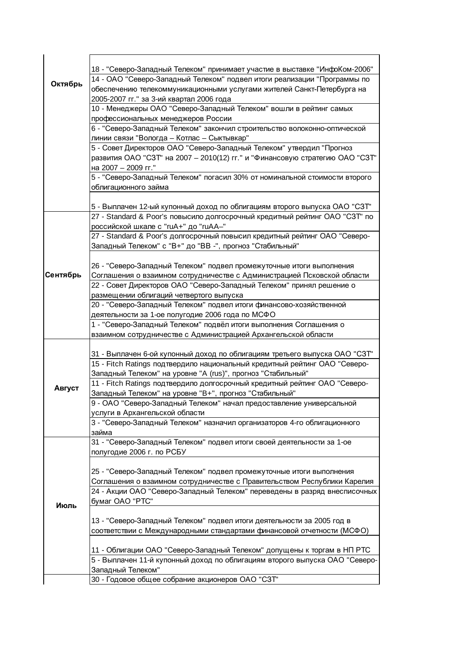|          | 18 - "Северо-Западный Телеком" принимает участие в выставке "ИнфоКом-2006"   |
|----------|------------------------------------------------------------------------------|
| Октябрь  | 14 - ОАО "Северо-Западный Телеком" подвел итоги реализации "Программы по     |
|          | обеспечению телекоммуникационными услугами жителей Санкт-Петербурга на       |
|          | 2005-2007 гг." за 3-ий квартал 2006 года                                     |
|          | 10 - Менеджеры ОАО "Северо-Западный Телеком" вошли в рейтинг самых           |
|          | профессиональных менеджеров России                                           |
|          | 6 - "Северо-Западный Телеком" закончил строительство волоконно-оптической    |
|          | линии связи "Вологда - Котлас - Сыктывкар"                                   |
|          | 5 - Совет Директоров ОАО "Северо-Западный Телеком" утвердил "Прогноз         |
|          | развития ОАО "СЗТ" на 2007 - 2010(12) гг." и "Финансовую стратегию ОАО "СЗТ" |
|          | на 2007 - 2009 гг."                                                          |
|          | 5 - "Северо-Западный Телеком" погасил 30% от номинальной стоимости второго   |
|          | облигационного займа                                                         |
|          |                                                                              |
|          | 5 - Выплачен 12-ый купонный доход по облигациям второго выпуска ОАО "СЗТ"    |
|          | 27 - Standard & Poor's повысило долгосрочный кредитный рейтинг ОАО "СЗТ" по  |
|          | российской шкале с "ruA+" до "ruAA-"                                         |
|          | 27 - Standard & Poor's долгосрочный повысил кредитный рейтинг ОАО "Северо-   |
|          | Западный Телеком" с "В+" до "ВВ -", прогноз "Стабильный"                     |
|          |                                                                              |
|          | 26 - "Северо-Западный Телеком" подвел промежуточные итоги выполнения         |
| Сентябрь | Соглашения о взаимном сотрудничестве с Администрацией Псковской области      |
|          | 22 - Совет Директоров ОАО "Северо-Западный Телеком" принял решение о         |
|          | размещении облигаций четвертого выпуска                                      |
|          | 20 - "Северо-Западный Телеком" подвел итоги финансово-хозяйственной          |
|          | деятельности за 1-ое полугодие 2006 года по МСФО                             |
|          | 1 - "Северо-Западный Телеком" подвёл итоги выполнения Соглашения о           |
|          | взаимном сотрудничестве с Администрацией Архангельской области               |
|          |                                                                              |
|          | 31 - Выплачен 6-ой купонный доход по облигациям третьего выпуска ОАО "СЗТ"   |
|          | 15 - Fitch Ratings подтвердило национальный кредитный рейтинг ОАО "Северо-   |
|          | Западный Телеком" на уровне "A (rus)", прогноз "Стабильный"                  |
|          | 11 - Fitch Ratings подтвердило долгосрочный кредитный рейтинг ОАО "Северо-   |
| Август   | Западный Телеком" на уровне "В+", прогноз "Стабильный"                       |
|          | 9 - ОАО "Северо-Западный Телеком" начал предоставление универсальной         |
|          | услуги в Архангельской области                                               |
|          | 3 - "Северо-Западный Телеком" назначил организаторов 4-го облигационного     |
|          | займа                                                                        |
|          | 31 - "Северо-Западный Телеком" подвел итоги своей деятельности за 1-ое       |
|          | полугодие 2006 г. по РСБУ                                                    |
|          |                                                                              |
|          | 25 - "Северо-Западный Телеком" подвел промежуточные итоги выполнения         |
|          | Соглашения о взаимном сотрудничестве с Правительством Республики Карелия     |
|          | 24 - Акции ОАО "Северо-Западный Телеком" переведены в разряд внесписочных    |
|          | бумаг ОАО "РТС"                                                              |
| Июль     |                                                                              |
|          | 13 - "Северо-Западный Телеком" подвел итоги деятельности за 2005 год в       |
|          | соответствии с Международными стандартами финансовой отчетности (МСФО)       |
|          |                                                                              |
|          | 11 - Облигации ОАО "Северо-Западный Телеком" допущены к торгам в НП РТС      |
|          | 5 - Выплачен 11-й купонный доход по облигациям второго выпуска ОАО "Северо-  |
|          | Западный Телеком"                                                            |
|          | 30 - Годовое общее собрание акционеров ОАО "СЗТ"                             |
|          |                                                                              |